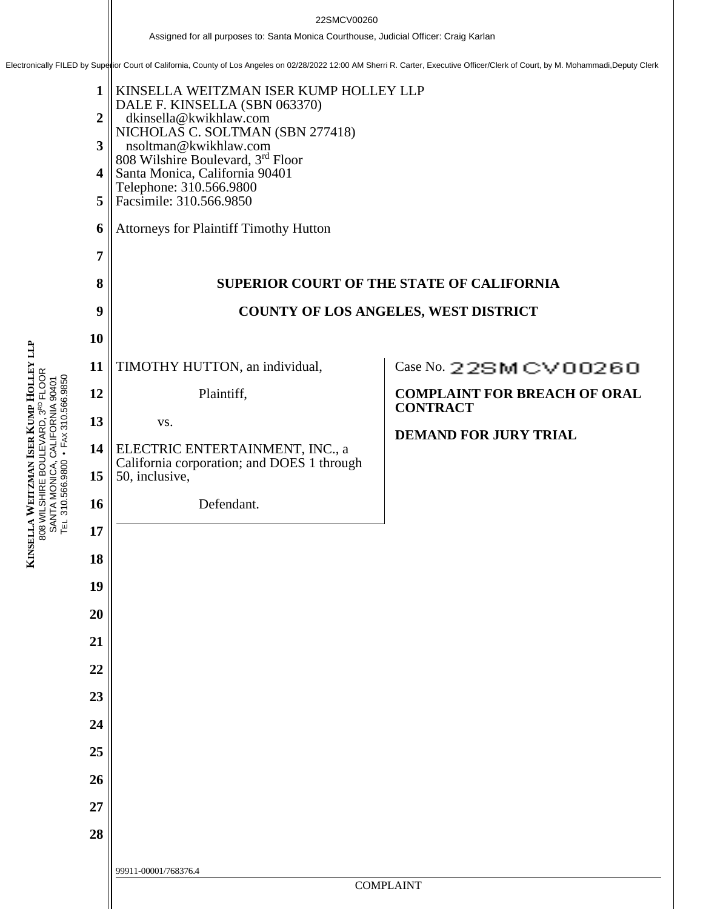22SMCV00260<br>Assigned for all purposes to: Santa Monica Courthouse, Judicial Officer: Craig Karlan<br>Electronically FILED by Superior Court of California, County of Los Angeles on 02/28/2022 12:00 AM Sherri R. Carter, Executi

**1 2 3 4 5 6 7 8 9 10 11 12 13 14 15 16 17 18 19 20 21 22 23 24 25 26 27 28** 99911-00001/768376.4 COMPLAINT KINSELLA WEITZMAN ISER KUMP HOLLEY LLP DALE F. KINSELLA (SBN 063370) dkinsella@kwikhlaw.com NICHOLAS C. SOLTMAN (SBN 277418) nsoltman@kwikhlaw.com 808 Wilshire Boulevard, 3rd Floor Santa Monica, California 90401 Telephone: 310.566.9800 Facsimile: 310.566.9850 Attorneys for Plaintiff Timothy Hutton **SUPERIOR COURT OF THE STATE OF CALIFORNIA COUNTY OF LOS ANGELES, WEST DISTRICT** TIMOTHY HUTTON, an individual, Plaintiff, vs. ELECTRIC ENTERTAINMENT, INC., a California corporation; and DOES 1 through 50, inclusive, Defendant.  $Case No. 22$ SMCV00260 **COMPLAINT FOR BREACH OF ORAL CONTRACT DEMAND FOR JURY TRIAL**

**KINSELLA WEITZMAN ISER KUMP HOLLEY LLP** 808 WILSHIRE BOULEVARD, 3RD FLOOR SANTA MONICA, CALIFORNIA 90401 TEL 310.566.9800 • FAX 310.566.9850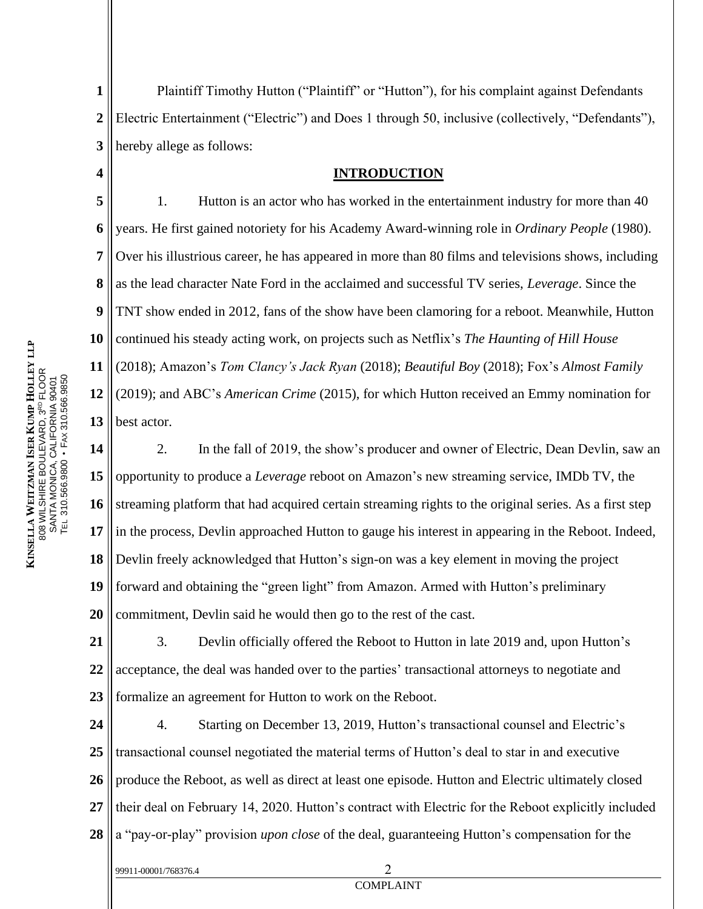**1 2 3** Plaintiff Timothy Hutton ("Plaintiff" or "Hutton"), for his complaint against Defendants Electric Entertainment ("Electric") and Does 1 through 50, inclusive (collectively, "Defendants"), hereby allege as follows:

#### **INTRODUCTION**

**5 6 8 9 10 13** 1. Hutton is an actor who has worked in the entertainment industry for more than 40 years. He first gained notoriety for his Academy Award-winning role in *Ordinary People* (1980). Over his illustrious career, he has appeared in more than 80 films and televisions shows, including as the lead character Nate Ford in the acclaimed and successful TV series, *Leverage*. Since the TNT show ended in 2012, fans of the show have been clamoring for a reboot. Meanwhile, Hutton continued his steady acting work, on projects such as Netflix's *The Haunting of Hill House* (2018); Amazon's *Tom Clancy's Jack Ryan* (2018); *Beautiful Boy* (2018); Fox's *Almost Family* (2019); and ABC's *American Crime* (2015), for which Hutton received an Emmy nomination for best actor.

**14 15 16 17 18 19 20** 2. In the fall of 2019, the show's producer and owner of Electric, Dean Devlin, saw an opportunity to produce a *Leverage* reboot on Amazon's new streaming service, IMDb TV, the streaming platform that had acquired certain streaming rights to the original series. As a first step in the process, Devlin approached Hutton to gauge his interest in appearing in the Reboot. Indeed, Devlin freely acknowledged that Hutton's sign-on was a key element in moving the project forward and obtaining the "green light" from Amazon. Armed with Hutton's preliminary commitment, Devlin said he would then go to the rest of the cast.

**21 22 23** 3. Devlin officially offered the Reboot to Hutton in late 2019 and, upon Hutton's acceptance, the deal was handed over to the parties' transactional attorneys to negotiate and formalize an agreement for Hutton to work on the Reboot.

**24 25 26 27 28** 4. Starting on December 13, 2019, Hutton's transactional counsel and Electric's transactional counsel negotiated the material terms of Hutton's deal to star in and executive produce the Reboot, as well as direct at least one episode. Hutton and Electric ultimately closed their deal on February 14, 2020. Hutton's contract with Electric for the Reboot explicitly included a "pay-or-play" provision *upon close* of the deal, guaranteeing Hutton's compensation for the

**4**

**7**

**11**

**12**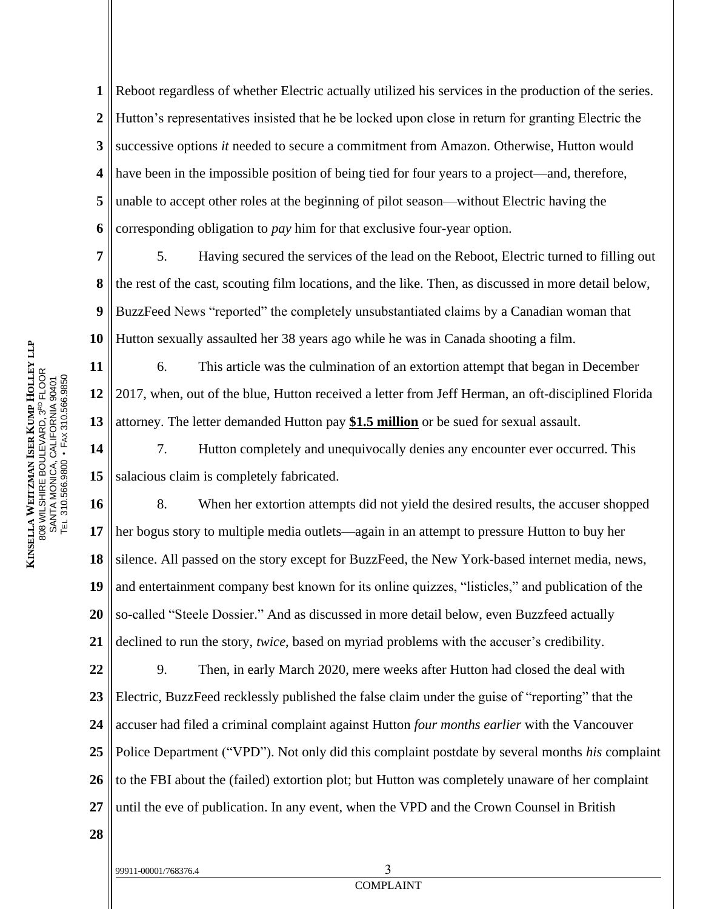**1 2 3 4 5 6** Reboot regardless of whether Electric actually utilized his services in the production of the series. Hutton's representatives insisted that he be locked upon close in return for granting Electric the successive options *it* needed to secure a commitment from Amazon. Otherwise, Hutton would have been in the impossible position of being tied for four years to a project—and, therefore, unable to accept other roles at the beginning of pilot season—without Electric having the corresponding obligation to *pay* him for that exclusive four-year option.

**7 8 9 10** 5. Having secured the services of the lead on the Reboot, Electric turned to filling out the rest of the cast, scouting film locations, and the like. Then, as discussed in more detail below, BuzzFeed News "reported" the completely unsubstantiated claims by a Canadian woman that Hutton sexually assaulted her 38 years ago while he was in Canada shooting a film.

**13** 6. This article was the culmination of an extortion attempt that began in December 2017, when, out of the blue, Hutton received a letter from Jeff Herman, an oft-disciplined Florida attorney. The letter demanded Hutton pay **\$1.5 million** or be sued for sexual assault.

**14 15** 7. Hutton completely and unequivocally denies any encounter ever occurred. This salacious claim is completely fabricated.

**16 17 18 19 20 21** 8. When her extortion attempts did not yield the desired results, the accuser shopped her bogus story to multiple media outlets—again in an attempt to pressure Hutton to buy her silence. All passed on the story except for BuzzFeed, the New York-based internet media, news, and entertainment company best known for its online quizzes, "listicles," and publication of the so-called "Steele Dossier." And as discussed in more detail below, even Buzzfeed actually declined to run the story, *twice*, based on myriad problems with the accuser's credibility.

**22 23 24 25 26 27** 9. Then, in early March 2020, mere weeks after Hutton had closed the deal with Electric, BuzzFeed recklessly published the false claim under the guise of "reporting" that the accuser had filed a criminal complaint against Hutton *four months earlier* with the Vancouver Police Department ("VPD"). Not only did this complaint postdate by several months *his* complaint to the FBI about the (failed) extortion plot; but Hutton was completely unaware of her complaint until the eve of publication. In any event, when the VPD and the Crown Counsel in British

**L L P**

**11**

**12**

**28**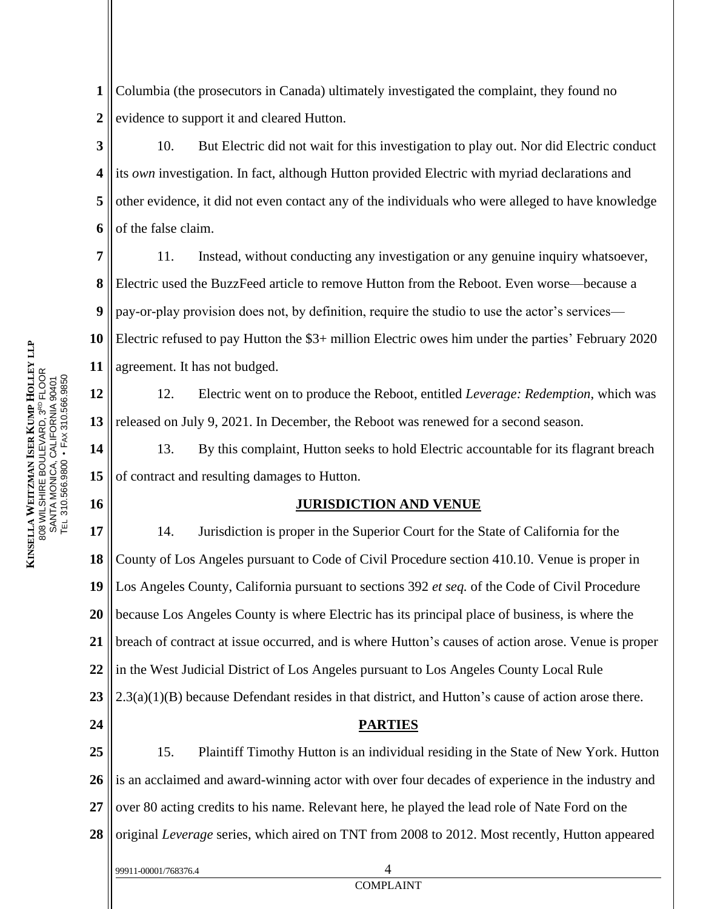**1 2** Columbia (the prosecutors in Canada) ultimately investigated the complaint, they found no evidence to support it and cleared Hutton.

**3 4 5 6** 10. But Electric did not wait for this investigation to play out. Nor did Electric conduct its *own* investigation. In fact, although Hutton provided Electric with myriad declarations and other evidence, it did not even contact any of the individuals who were alleged to have knowledge of the false claim.

**7 8 9** 11. Instead, without conducting any investigation or any genuine inquiry whatsoever, Electric used the BuzzFeed article to remove Hutton from the Reboot. Even worse—because a pay-or-play provision does not, by definition, require the studio to use the actor's services—

**10 11** Electric refused to pay Hutton the \$3+ million Electric owes him under the parties' February 2020 agreement. It has not budged.

**12 13** 12. Electric went on to produce the Reboot, entitled *Leverage: Redemption*, which was released on July 9, 2021. In December, the Reboot was renewed for a second season.

**14 15** 13. By this complaint, Hutton seeks to hold Electric accountable for its flagrant breach of contract and resulting damages to Hutton.

#### **JURISDICTION AND VENUE**

**17 18 19 20 21 22 23 24 25** 14. Jurisdiction is proper in the Superior Court for the State of California for the County of Los Angeles pursuant to Code of Civil Procedure section 410.10. Venue is proper in Los Angeles County, California pursuant to sections 392 *et seq.* of the Code of Civil Procedure because Los Angeles County is where Electric has its principal place of business, is where the breach of contract at issue occurred, and is where Hutton's causes of action arose. Venue is proper in the West Judicial District of Los Angeles pursuant to Los Angeles County Local Rule 2.3(a)(1)(B) because Defendant resides in that district, and Hutton's cause of action arose there. **PARTIES** 15. Plaintiff Timothy Hutton is an individual residing in the State of New York. Hutton

**26 27 28** is an acclaimed and award-winning actor with over four decades of experience in the industry and over 80 acting credits to his name. Relevant here, he played the lead role of Nate Ford on the original *Leverage* series, which aired on TNT from 2008 to 2012. Most recently, Hutton appeared

COMPLAINT

**16**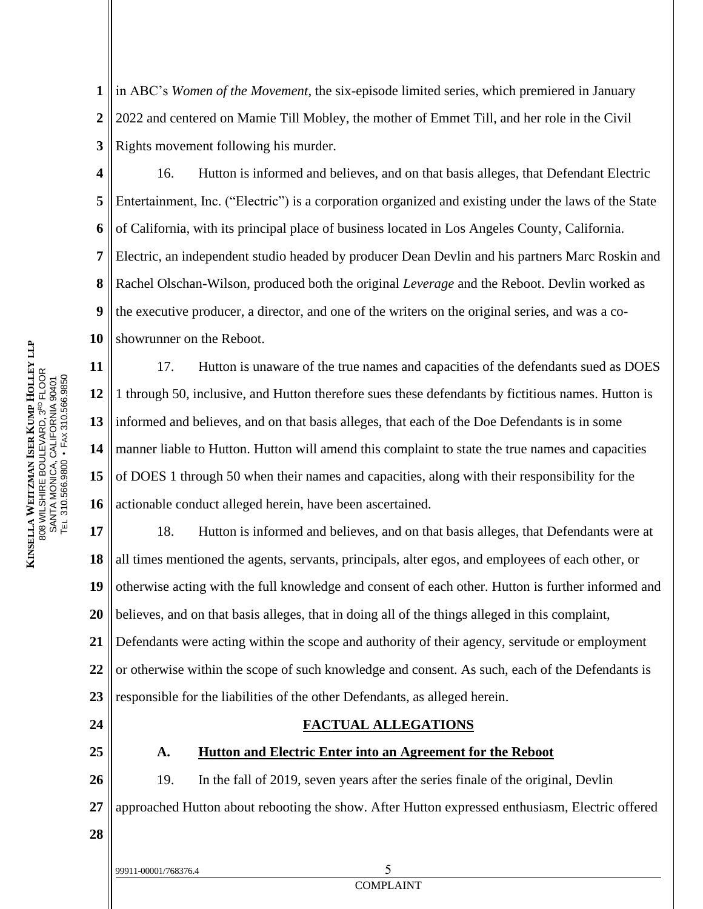**1 2 3** in ABC's *Women of the Movement*, the six-episode limited series, which premiered in January 2022 and centered on Mamie Till Mobley, the mother of Emmet Till, and her role in the Civil Rights movement following his murder.

**4 5 6 7 8 9 10** 16. Hutton is informed and believes, and on that basis alleges, that Defendant Electric Entertainment, Inc. ("Electric") is a corporation organized and existing under the laws of the State of California, with its principal place of business located in Los Angeles County, California. Electric, an independent studio headed by producer Dean Devlin and his partners Marc Roskin and Rachel Olschan-Wilson, produced both the original *Leverage* and the Reboot. Devlin worked as the executive producer, a director, and one of the writers on the original series, and was a coshowrunner on the Reboot.

**11 12 13 14 15 16** 17. Hutton is unaware of the true names and capacities of the defendants sued as DOES 1 through 50, inclusive, and Hutton therefore sues these defendants by fictitious names. Hutton is informed and believes, and on that basis alleges, that each of the Doe Defendants is in some manner liable to Hutton. Hutton will amend this complaint to state the true names and capacities of DOES 1 through 50 when their names and capacities, along with their responsibility for the actionable conduct alleged herein, have been ascertained.

**17 18 19 20 21 22** 18. Hutton is informed and believes, and on that basis alleges, that Defendants were at all times mentioned the agents, servants, principals, alter egos, and employees of each other, or otherwise acting with the full knowledge and consent of each other. Hutton is further informed and believes, and on that basis alleges, that in doing all of the things alleged in this complaint, Defendants were acting within the scope and authority of their agency, servitude or employment or otherwise within the scope of such knowledge and consent. As such, each of the Defendants is

**23** responsible for the liabilities of the other Defendants, as alleged herein.

**24**

**25**

### **FACTUAL ALLEGATIONS**

#### **A. Hutton and Electric Enter into an Agreement for the Reboot**

**26 27** 19. In the fall of 2019, seven years after the series finale of the original, Devlin approached Hutton about rebooting the show. After Hutton expressed enthusiasm, Electric offered

- **28**
- 99911-00001/768376.4 5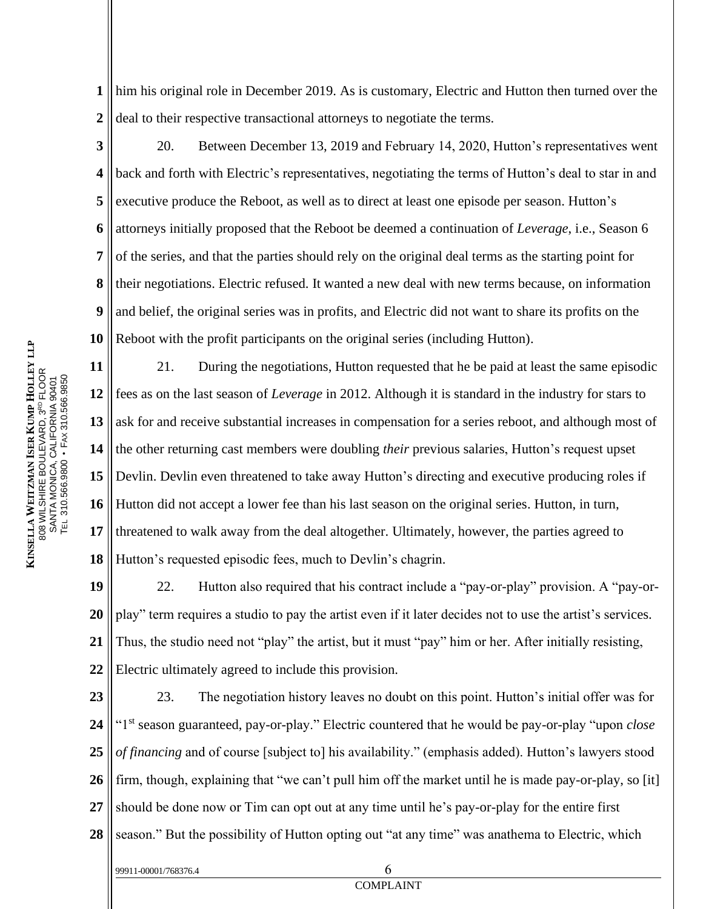**1 2** him his original role in December 2019. As is customary, Electric and Hutton then turned over the deal to their respective transactional attorneys to negotiate the terms.

**3**

**4**

**5**

**6**

**7**

**8**

**9**

**10**

99911-00001/768376.4 6

20. Between December 13, 2019 and February 14, 2020, Hutton's representatives went back and forth with Electric's representatives, negotiating the terms of Hutton's deal to star in and executive produce the Reboot, as well as to direct at least one episode per season. Hutton's attorneys initially proposed that the Reboot be deemed a continuation of *Leverage*, i.e., Season 6 of the series, and that the parties should rely on the original deal terms as the starting point for their negotiations. Electric refused. It wanted a new deal with new terms because, on information and belief, the original series was in profits, and Electric did not want to share its profits on the Reboot with the profit participants on the original series (including Hutton).

**11 12 13 14 15 16 17 18** 21. During the negotiations, Hutton requested that he be paid at least the same episodic fees as on the last season of *Leverage* in 2012. Although it is standard in the industry for stars to ask for and receive substantial increases in compensation for a series reboot, and although most of the other returning cast members were doubling *their* previous salaries, Hutton's request upset Devlin. Devlin even threatened to take away Hutton's directing and executive producing roles if Hutton did not accept a lower fee than his last season on the original series. Hutton, in turn, threatened to walk away from the deal altogether. Ultimately, however, the parties agreed to Hutton's requested episodic fees, much to Devlin's chagrin.

**19 20 21 22** 22. Hutton also required that his contract include a "pay-or-play" provision. A "pay-orplay" term requires a studio to pay the artist even if it later decides not to use the artist's services. Thus, the studio need not "play" the artist, but it must "pay" him or her. After initially resisting, Electric ultimately agreed to include this provision.

**23 24 25 26 27 28** 23. The negotiation history leaves no doubt on this point. Hutton's initial offer was for "1st season guaranteed, pay-or-play." Electric countered that he would be pay-or-play "upon *close of financing* and of course [subject to] his availability." (emphasis added). Hutton's lawyers stood firm, though, explaining that "we can't pull him off the market until he is made pay-or-play, so [it] should be done now or Tim can opt out at any time until he's pay-or-play for the entire first season." But the possibility of Hutton opting out "at any time" was anathema to Electric, which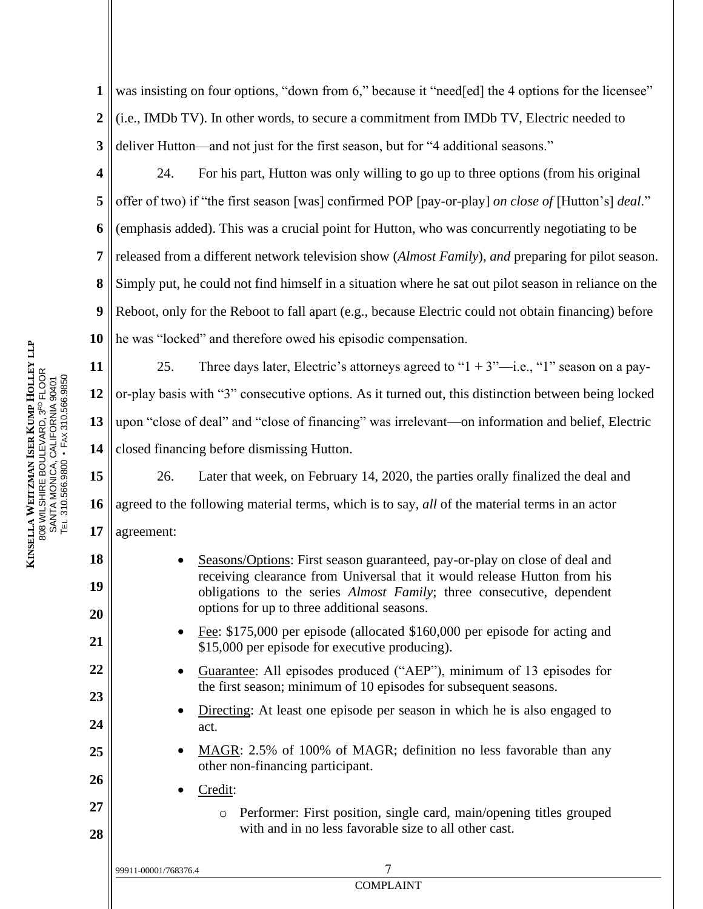**1 2 3** was insisting on four options, "down from 6," because it "need[ed] the 4 options for the licensee" (i.e., IMDb TV). In other words, to secure a commitment from IMDb TV, Electric needed to deliver Hutton—and not just for the first season, but for "4 additional seasons."

**4 5 6 7 8 9 10** 24. For his part, Hutton was only willing to go up to three options (from his original offer of two) if "the first season [was] confirmed POP [pay-or-play] *on close of* [Hutton's] *deal*." (emphasis added). This was a crucial point for Hutton, who was concurrently negotiating to be released from a different network television show (*Almost Family*), *and* preparing for pilot season. Simply put, he could not find himself in a situation where he sat out pilot season in reliance on the Reboot, only for the Reboot to fall apart (e.g., because Electric could not obtain financing) before he was "locked" and therefore owed his episodic compensation.

**11 12 13 14** 25. Three days later, Electric's attorneys agreed to " $1 + 3$ "-i.e., "1" season on a payor-play basis with "3" consecutive options. As it turned out, this distinction between being locked upon "close of deal" and "close of financing" was irrelevant—on information and belief, Electric closed financing before dismissing Hutton.

**15 16 17** 26. Later that week, on February 14, 2020, the parties orally finalized the deal and agreed to the following material terms, which is to say, *all* of the material terms in an actor agreement:

• Seasons/Options: First season guaranteed, pay-or-play on close of deal and receiving clearance from Universal that it would release Hutton from his obligations to the series *Almost Family*; three consecutive, dependent options for up to three additional seasons.

- Fee: \$175,000 per episode (allocated \$160,000 per episode for acting and \$15,000 per episode for executive producing).
- Guarantee: All episodes produced ("AEP"), minimum of 13 episodes for the first season; minimum of 10 episodes for subsequent seasons.
- Directing: At least one episode per season in which he is also engaged to act.
- MAGR: 2.5% of 100% of MAGR; definition no less favorable than any other non-financing participant.

COMPLAINT

• Credit:

99911-00001/768376.4 7

o Performer: First position, single card, main/opening titles grouped with and in no less favorable size to all other cast.

**18**

**19**

**20**

**21**

**22**

**23**

**24**

**25**

**26**

**27**

**28**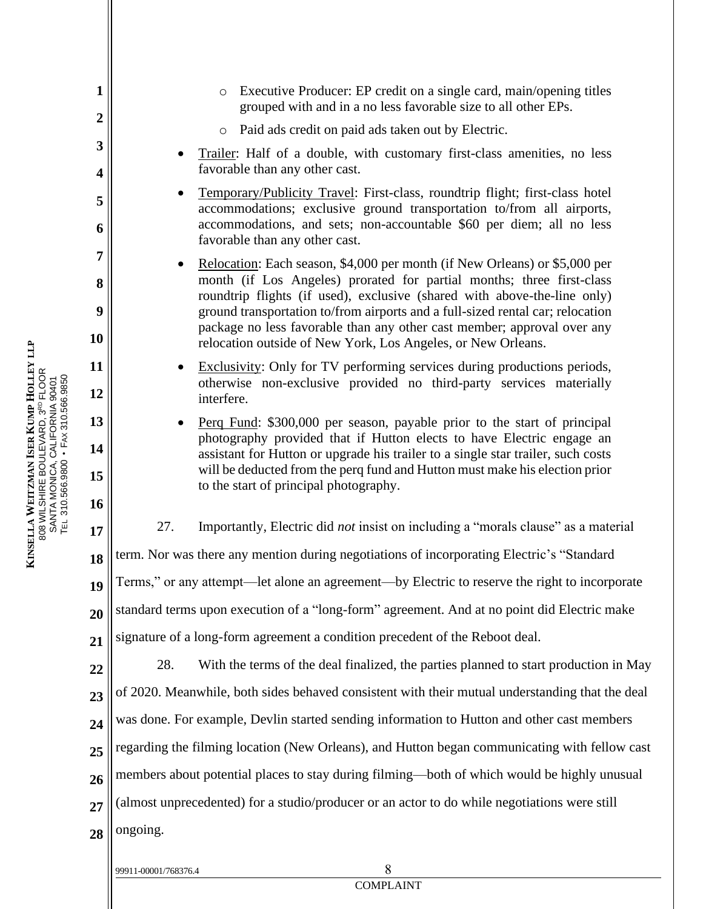- o Executive Producer: EP credit on a single card, main/opening titles grouped with and in a no less favorable size to all other EPs.
- o Paid ads credit on paid ads taken out by Electric.
- Trailer: Half of a double, with customary first-class amenities, no less favorable than any other cast.
- Temporary/Publicity Travel: First-class, roundtrip flight; first-class hotel accommodations; exclusive ground transportation to/from all airports, accommodations, and sets; non-accountable \$60 per diem; all no less favorable than any other cast.
- Relocation: Each season, \$4,000 per month (if New Orleans) or \$5,000 per month (if Los Angeles) prorated for partial months; three first-class roundtrip flights (if used), exclusive (shared with above-the-line only) ground transportation to/from airports and a full-sized rental car; relocation package no less favorable than any other cast member; approval over any relocation outside of New York, Los Angeles, or New Orleans.
- Exclusivity: Only for TV performing services during productions periods, otherwise non-exclusive provided no third-party services materially interfere.
- Perq Fund: \$300,000 per season, payable prior to the start of principal photography provided that if Hutton elects to have Electric engage an assistant for Hutton or upgrade his trailer to a single star trailer, such costs will be deducted from the perq fund and Hutton must make his election prior to the start of principal photography.

27. Importantly, Electric did *not* insist on including a "morals clause" as a material

**18** term. Nor was there any mention during negotiations of incorporating Electric's "Standard

Terms," or any attempt—let alone an agreement—by Electric to reserve the right to incorporate

**20** standard terms upon execution of a "long-form" agreement. And at no point did Electric make

**21** signature of a long-form agreement a condition precedent of the Reboot deal.

**22 23 24 25 26 27 28** 28. With the terms of the deal finalized, the parties planned to start production in May of 2020. Meanwhile, both sides behaved consistent with their mutual understanding that the deal was done. For example, Devlin started sending information to Hutton and other cast members regarding the filming location (New Orleans), and Hutton began communicating with fellow cast members about potential places to stay during filming—both of which would be highly unusual (almost unprecedented) for a studio/producer or an actor to do while negotiations were still ongoing.

**1**

**2**

**3**

**4**

**5**

**6**

**7**

**8**

**9**

**10**

**11**

**12**

**13**

**14**

**15**

**16**

**17**

**19**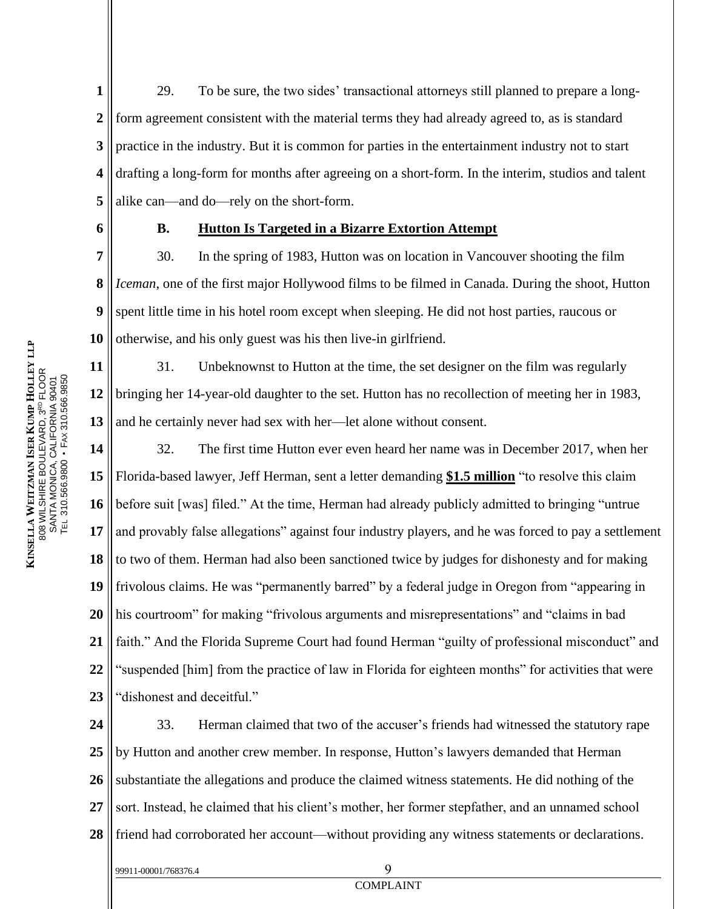**1 2 3 4 5** 29. To be sure, the two sides' transactional attorneys still planned to prepare a longform agreement consistent with the material terms they had already agreed to, as is standard practice in the industry. But it is common for parties in the entertainment industry not to start drafting a long-form for months after agreeing on a short-form. In the interim, studios and talent alike can—and do—rely on the short-form.

**6**

**12**

99911-00001/768376.4 9

#### **B. Hutton Is Targeted in a Bizarre Extortion Attempt**

**7 8 9 10** 30. In the spring of 1983, Hutton was on location in Vancouver shooting the film *Iceman*, one of the first major Hollywood films to be filmed in Canada. During the shoot, Hutton spent little time in his hotel room except when sleeping. He did not host parties, raucous or otherwise, and his only guest was his then live-in girlfriend.

**11 13** 31. Unbeknownst to Hutton at the time, the set designer on the film was regularly bringing her 14-year-old daughter to the set. Hutton has no recollection of meeting her in 1983, and he certainly never had sex with her—let alone without consent.

**14 15 16 17 18 19 20 21 22 23** 32. The first time Hutton ever even heard her name was in December 2017, when her Florida-based lawyer, Jeff Herman, sent a letter demanding **\$1.5 million** "to resolve this claim before suit [was] filed." At the time, Herman had already publicly admitted to bringing "untrue and provably false allegations" against four industry players, and he was forced to pay a settlement to two of them. Herman had also been sanctioned twice by judges for dishonesty and for making frivolous claims. He was "permanently barred" by a federal judge in Oregon from "appearing in his courtroom" for making "frivolous arguments and misrepresentations" and "claims in bad faith." And the Florida Supreme Court had found Herman "guilty of professional misconduct" and "suspended [him] from the practice of law in Florida for eighteen months" for activities that were "dishonest and deceitful."

**24 25 26 27 28** 33. Herman claimed that two of the accuser's friends had witnessed the statutory rape by Hutton and another crew member. In response, Hutton's lawyers demanded that Herman substantiate the allegations and produce the claimed witness statements. He did nothing of the sort. Instead, he claimed that his client's mother, her former stepfather, and an unnamed school friend had corroborated her account—without providing any witness statements or declarations.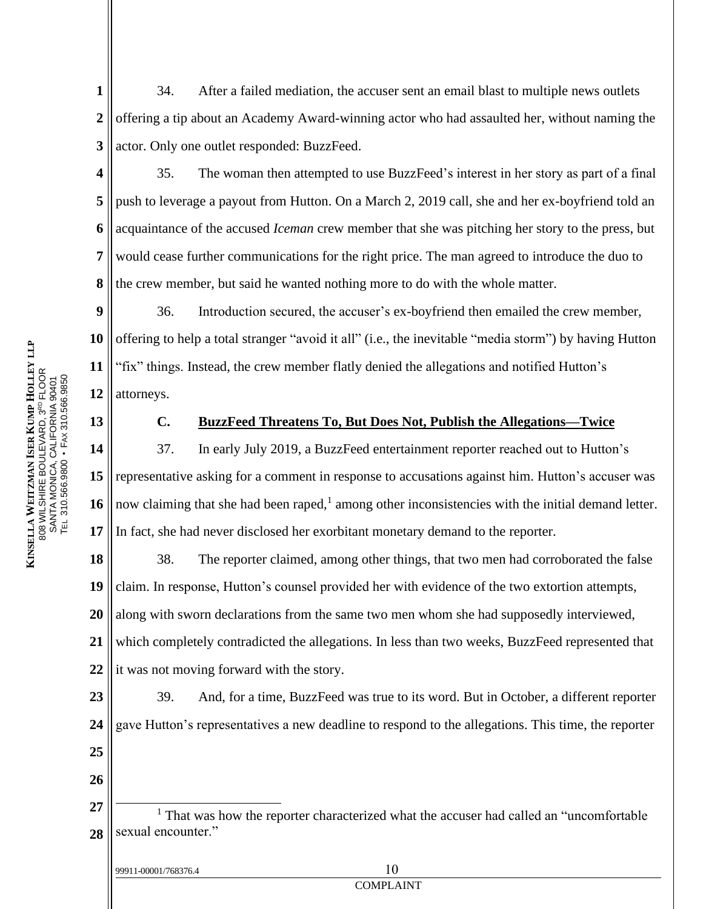**1 2 3** 34. After a failed mediation, the accuser sent an email blast to multiple news outlets offering a tip about an Academy Award-winning actor who had assaulted her, without naming the actor. Only one outlet responded: BuzzFeed.

**4 5 6 7 8** 35. The woman then attempted to use BuzzFeed's interest in her story as part of a final push to leverage a payout from Hutton. On a March 2, 2019 call, she and her ex-boyfriend told an acquaintance of the accused *Iceman* crew member that she was pitching her story to the press, but would cease further communications for the right price. The man agreed to introduce the duo to the crew member, but said he wanted nothing more to do with the whole matter.

**9 10 11 12** 36. Introduction secured, the accuser's ex-boyfriend then emailed the crew member, offering to help a total stranger "avoid it all" (i.e., the inevitable "media storm") by having Hutton "fix" things. Instead, the crew member flatly denied the allegations and notified Hutton's attorneys.

**13**

**KINSE L L A**

**W EITZM**<br>RHIRF F

808 WILS

SANTA MONIC<br>TEL 310 EGG 08

A, C

TEL 310.566.9800 • FAX 310.566.9850

ALIFOR<br>En:24

NIA 90401

**A N ISE R**

**K U MP H**

HIRE BOULEVARD, 3<sup>RD</sup> FLOOR<br>MONICA CALIEOBNIA 99404

**OLLEY**<br>
IOOB

**L L P**

#### **C. BuzzFeed Threatens To, But Does Not, Publish the Allegations—Twice**

**14 15 16 17** 37. In early July 2019, a BuzzFeed entertainment reporter reached out to Hutton's representative asking for a comment in response to accusations against him. Hutton's accuser was now claiming that she had been raped,<sup>1</sup> among other inconsistencies with the initial demand letter. In fact, she had never disclosed her exorbitant monetary demand to the reporter.

**18 19 20 21 22** 38. The reporter claimed, among other things, that two men had corroborated the false claim. In response, Hutton's counsel provided her with evidence of the two extortion attempts, along with sworn declarations from the same two men whom she had supposedly interviewed, which completely contradicted the allegations. In less than two weeks, BuzzFeed represented that it was not moving forward with the story.

**23 24 25 26 27** 39. And, for a time, BuzzFeed was true to its word. But in October, a different reporter gave Hutton's representatives a new deadline to respond to the allegations. This time, the reporter

| 99911-00001/768376.4 |  |
|----------------------|--|
|----------------------|--|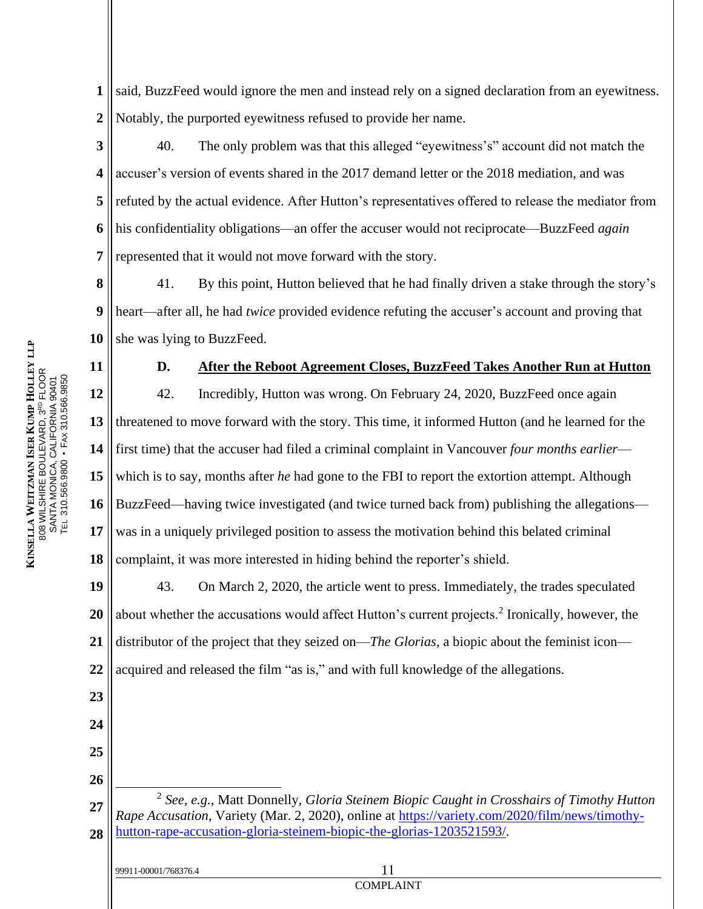**1 2** said, BuzzFeed would ignore the men and instead rely on a signed declaration from an eyewitness. Notably, the purported eyewitness refused to provide her name.

**3 4 5 6 7** 40. The only problem was that this alleged "eyewitness's" account did not match the accuser's version of events shared in the 2017 demand letter or the 2018 mediation, and was refuted by the actual evidence. After Hutton's representatives offered to release the mediator from his confidentiality obligations—an offer the accuser would not reciprocate—BuzzFeed *again* represented that it would not move forward with the story.

**8 9 10** 41. By this point, Hutton believed that he had finally driven a stake through the story's heart—after all, he had *twice* provided evidence refuting the accuser's account and proving that she was lying to BuzzFeed.

**D. After the Reboot Agreement Closes, BuzzFeed Takes Another Run at Hutton**

**12 13 14 15 16 17 18** 42. Incredibly, Hutton was wrong. On February 24, 2020, BuzzFeed once again threatened to move forward with the story. This time, it informed Hutton (and he learned for the first time) that the accuser had filed a criminal complaint in Vancouver *four months earlier* which is to say, months after *he* had gone to the FBI to report the extortion attempt. Although BuzzFeed—having twice investigated (and twice turned back from) publishing the allegations was in a uniquely privileged position to assess the motivation behind this belated criminal complaint, it was more interested in hiding behind the reporter's shield.

**19 20 21 22** 43. On March 2, 2020, the article went to press. Immediately, the trades speculated about whether the accusations would affect Hutton's current projects.<sup>2</sup> Ironically, however, the distributor of the project that they seized on—*The Glorias*, a biopic about the feminist icon acquired and released the film "as is," and with full knowledge of the allegations.

**27 28** 2 *See, e.g.*, Matt Donnelly, *Gloria Steinem Biopic Caught in Crosshairs of Timothy Hutton Rape Accusation*, Variety (Mar. 2, 2020), online at [https://variety.com/2020/film/news/timothy](https://variety.com/2020/film/news/timothy-hutton-rape-accusation-gloria-steinem-biopic-the-glorias-1203521593/)[hutton-rape-accusation-gloria-steinem-biopic-the-glorias-1203521593/.](https://variety.com/2020/film/news/timothy-hutton-rape-accusation-gloria-steinem-biopic-the-glorias-1203521593/)

COMPLAINT

**11**

**23**

**24**

**25**

**26**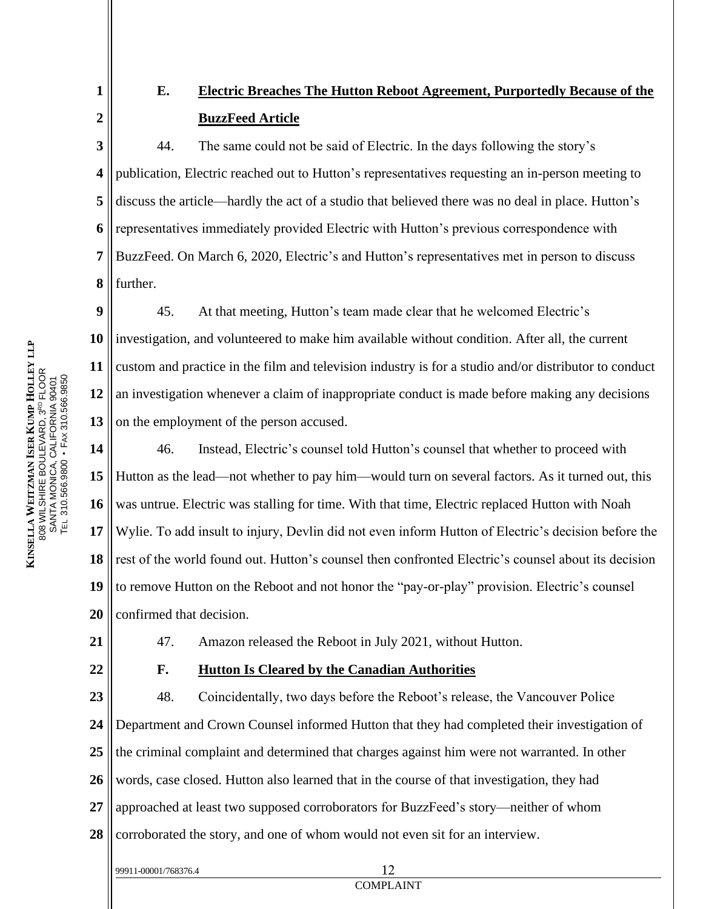**1 2**

**9**

**10**

**11**

**12**

**13**

## **E. Electric Breaches The Hutton Reboot Agreement, Purportedly Because of the BuzzFeed Article**

**3 4 5 6 7 8** 44. The same could not be said of Electric. In the days following the story's publication, Electric reached out to Hutton's representatives requesting an in-person meeting to discuss the article—hardly the act of a studio that believed there was no deal in place. Hutton's representatives immediately provided Electric with Hutton's previous correspondence with BuzzFeed. On March 6, 2020, Electric's and Hutton's representatives met in person to discuss further.

45. At that meeting, Hutton's team made clear that he welcomed Electric's investigation, and volunteered to make him available without condition. After all, the current custom and practice in the film and television industry is for a studio and/or distributor to conduct an investigation whenever a claim of inappropriate conduct is made before making any decisions on the employment of the person accused.

**14 15 16 17 18 19 20** 46. Instead, Electric's counsel told Hutton's counsel that whether to proceed with Hutton as the lead—not whether to pay him—would turn on several factors. As it turned out, this was untrue. Electric was stalling for time. With that time, Electric replaced Hutton with Noah Wylie. To add insult to injury, Devlin did not even inform Hutton of Electric's decision before the rest of the world found out. Hutton's counsel then confronted Electric's counsel about its decision to remove Hutton on the Reboot and not honor the "pay-or-play" provision. Electric's counsel confirmed that decision.

**21**

# 47. Amazon released the Reboot in July 2021, without Hutton.

99911-00001/768376.4 12

**22 23 24 25 26 27 28 F. Hutton Is Cleared by the Canadian Authorities**  48. Coincidentally, two days before the Reboot's release, the Vancouver Police Department and Crown Counsel informed Hutton that they had completed their investigation of the criminal complaint and determined that charges against him were not warranted. In other words, case closed. Hutton also learned that in the course of that investigation, they had approached at least two supposed corroborators for BuzzFeed's story—neither of whom corroborated the story, and one of whom would not even sit for an interview.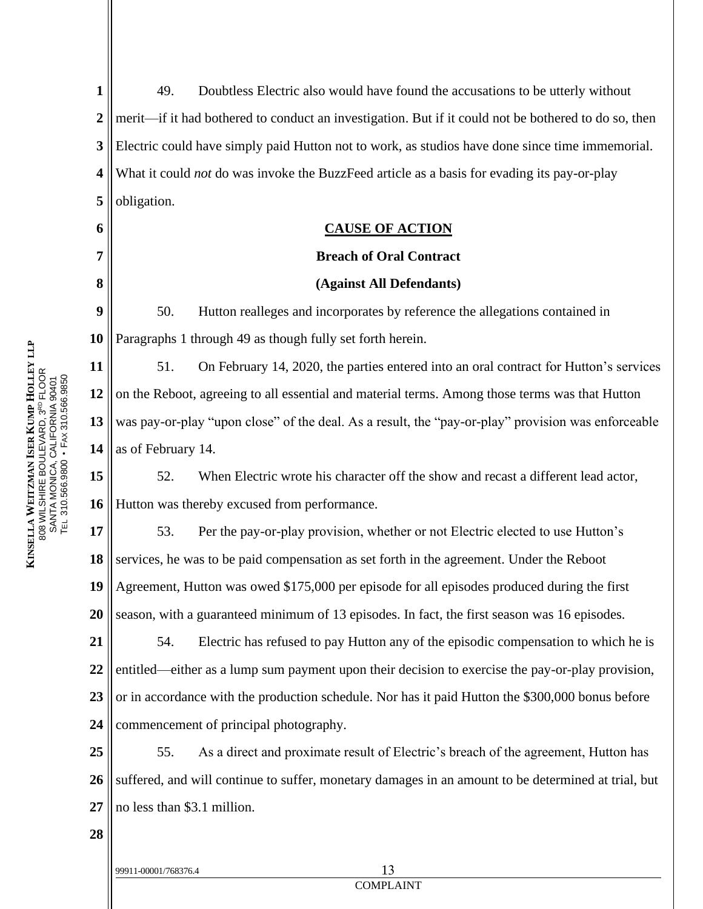**1 2 3 4 5** 49. Doubtless Electric also would have found the accusations to be utterly without merit—if it had bothered to conduct an investigation. But if it could not be bothered to do so, then Electric could have simply paid Hutton not to work, as studios have done since time immemorial. What it could *not* do was invoke the BuzzFeed article as a basis for evading its pay-or-play obligation.

**6 7**

**8**

#### <span id="page-12-0"></span>**CAUSE OF ACTION**

#### **Breach of Oral Contract**

#### **(Against All Defendants)**

**9 10** 50. Hutton realleges and incorporates by reference the allegations contained in Paragraphs 1 through [49](#page-12-0) as though fully set forth herein.

**11 12 13 14** 51. On February 14, 2020, the parties entered into an oral contract for Hutton's services on the Reboot, agreeing to all essential and material terms. Among those terms was that Hutton was pay-or-play "upon close" of the deal. As a result, the "pay-or-play" provision was enforceable as of February 14.

**15 16** 52. When Electric wrote his character off the show and recast a different lead actor, Hutton was thereby excused from performance.

**17 18 19 20** 53. Per the pay-or-play provision, whether or not Electric elected to use Hutton's services, he was to be paid compensation as set forth in the agreement. Under the Reboot Agreement, Hutton was owed \$175,000 per episode for all episodes produced during the first season, with a guaranteed minimum of 13 episodes. In fact, the first season was 16 episodes.

**21 22 23 24** 54. Electric has refused to pay Hutton any of the episodic compensation to which he is entitled—either as a lump sum payment upon their decision to exercise the pay-or-play provision, or in accordance with the production schedule. Nor has it paid Hutton the \$300,000 bonus before commencement of principal photography.

**25 26 27** 55. As a direct and proximate result of Electric's breach of the agreement, Hutton has suffered, and will continue to suffer, monetary damages in an amount to be determined at trial, but no less than \$3.1 million.

**28**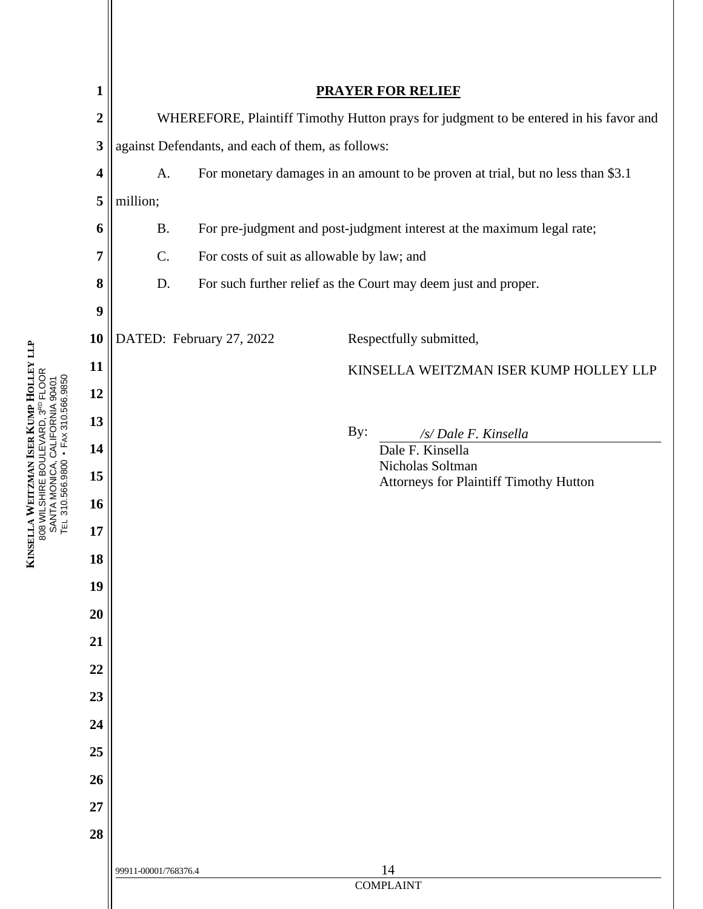| 1                        | <b>PRAYER FOR RELIEF</b>                                                              |                                                                        |                                        |  |
|--------------------------|---------------------------------------------------------------------------------------|------------------------------------------------------------------------|----------------------------------------|--|
| $\overline{2}$           | WHEREFORE, Plaintiff Timothy Hutton prays for judgment to be entered in his favor and |                                                                        |                                        |  |
| 3                        | against Defendants, and each of them, as follows:                                     |                                                                        |                                        |  |
| $\overline{\mathcal{A}}$ | For monetary damages in an amount to be proven at trial, but no less than \$3.1<br>A. |                                                                        |                                        |  |
| 5                        | million;                                                                              |                                                                        |                                        |  |
| 6                        | <b>B.</b>                                                                             | For pre-judgment and post-judgment interest at the maximum legal rate; |                                        |  |
| 7                        | C.                                                                                    | For costs of suit as allowable by law; and                             |                                        |  |
| 8                        | D.                                                                                    | For such further relief as the Court may deem just and proper.         |                                        |  |
| 9                        |                                                                                       |                                                                        |                                        |  |
| 10                       |                                                                                       | DATED: February 27, 2022<br>Respectfully submitted,                    |                                        |  |
| 11                       |                                                                                       |                                                                        | KINSELLA WEITZMAN ISER KUMP HOLLEY LLP |  |
| 12                       |                                                                                       |                                                                        |                                        |  |
| 13                       |                                                                                       |                                                                        | By:<br>/s/ Dale F. Kinsella            |  |
| 14                       |                                                                                       |                                                                        | Dale F. Kinsella<br>Nicholas Soltman   |  |
| 15                       |                                                                                       |                                                                        | Attorneys for Plaintiff Timothy Hutton |  |
| 16                       |                                                                                       |                                                                        |                                        |  |
| 17                       |                                                                                       |                                                                        |                                        |  |
| 18                       |                                                                                       |                                                                        |                                        |  |
| 19                       |                                                                                       |                                                                        |                                        |  |
| 20                       |                                                                                       |                                                                        |                                        |  |
| 21                       |                                                                                       |                                                                        |                                        |  |
| 22                       |                                                                                       |                                                                        |                                        |  |
| 23                       |                                                                                       |                                                                        |                                        |  |
| 24                       |                                                                                       |                                                                        |                                        |  |
| 25                       |                                                                                       |                                                                        |                                        |  |
| 26                       |                                                                                       |                                                                        |                                        |  |
| 27                       |                                                                                       |                                                                        |                                        |  |
| 28                       |                                                                                       |                                                                        |                                        |  |
|                          | 99911-00001/768376.4                                                                  |                                                                        | 14<br><b>COMPLAINT</b>                 |  |
|                          |                                                                                       |                                                                        |                                        |  |

**KINSE L L A W EITZM**<br>RHIRF F **A N ISE R K U MP H OLLEY**<br>
IOOB 808 WILS HIRE BOULEVARD, 3<sup>RD</sup> FLOOR<br>MONICA CALIEOBNIA 99404 SANTA MONIC<br>TEL 310 EGG 08 A, C ALIFOR<br>En:24 NIA 90401 TEL 310.566.9800 • FAX 310.566.9850

**L L P**